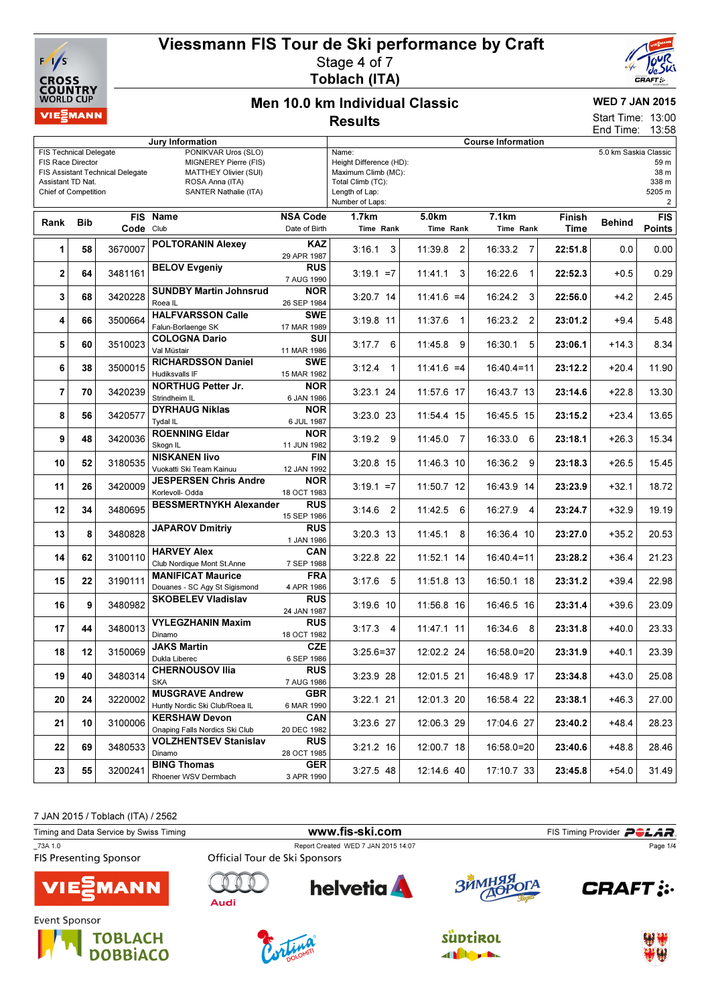



### Men 10.0 km Individual Classic **Results**

## WED 7 JAN 2015

13:00 13:58 Start Time: End Time:

|                                                    |         |                                  | Jury Information                                               |                           | <b>Course Information</b>        |                   |                        |         |                       |                |  |
|----------------------------------------------------|---------|----------------------------------|----------------------------------------------------------------|---------------------------|----------------------------------|-------------------|------------------------|---------|-----------------------|----------------|--|
| <b>FIS Technical Delegate</b><br>FIS Race Director |         |                                  | PONIKVAR Uros (SLO)<br>MIGNEREY Pierre (FIS)                   |                           | Name:<br>Height Difference (HD): |                   |                        |         | 5.0 km Saskia Classic | 59 m           |  |
|                                                    |         | FIS Assistant Technical Delegate | MATTHEY Olivier (SUI)                                          |                           | 38 m<br>Maximum Climb (MC):      |                   |                        |         |                       |                |  |
| Assistant TD Nat.                                  |         |                                  | ROSA Anna (ITA)                                                |                           | Total Climb (TC):                |                   |                        |         |                       | 338 m          |  |
| <b>Chief of Competition</b>                        |         |                                  | SANTER Nathalie (ITA)                                          |                           | Length of Lap:                   |                   |                        |         |                       | 5205 m         |  |
|                                                    |         |                                  |                                                                |                           | Number of Laps:                  |                   |                        |         |                       | $\overline{a}$ |  |
| Rank                                               | Bib     |                                  | <b>FIS Name</b>                                                | <b>NSA Code</b>           | 1.7km                            | 5.0 <sub>km</sub> | 7.1km                  | Finish  | <b>Behind</b>         | <b>FIS</b>     |  |
|                                                    |         | Code Club                        |                                                                | Date of Birth             | Time Rank                        | Time Rank         | Time Rank              | Time    |                       | Points         |  |
| 1                                                  | 58      | 3670007                          | <b>POLTORANIN Alexey</b>                                       | <b>KAZ</b>                | 3:16.1<br>3                      | 11:39.8<br>2      | 16:33.2<br>7           | 22:51.8 | 0.0                   | 0.00           |  |
|                                                    |         |                                  |                                                                | 29 APR 1987               |                                  |                   |                        |         |                       |                |  |
| $\mathbf{2}$                                       | 64      | 3481161                          | <b>BELOV Evgeniy</b>                                           | <b>RUS</b><br>7 AUG 1990  | $3:19.1 = 7$                     | 11:41.1<br>3      | 16:22.6<br>$\mathbf 1$ | 22:52.3 | $+0.5$                | 0.29           |  |
|                                                    |         |                                  | <b>SUNDBY Martin Johnsrud</b>                                  | <b>NOR</b>                |                                  |                   |                        |         |                       |                |  |
| 3                                                  | 68      | 3420228                          | Roea IL                                                        | 26 SEP 1984               | 3:20.7 14                        | $11:41.6 = 4$     | 16:24.2<br>3           | 22:56.0 | $+4.2$                | 2.45           |  |
|                                                    |         |                                  | <b>HALFVARSSON Calle</b>                                       | SWE                       |                                  |                   |                        |         |                       |                |  |
| 4                                                  | 66      | 3500664                          | Falun-Borlaenge SK                                             | 17 MAR 1989               | $3:19.8$ 11                      | 11:37.6<br>1      | 16:23.2<br>2           | 23:01.2 | $+9.4$                | 5.48           |  |
| 5                                                  | 60      | 3510023                          | <b>COLOGNA Dario</b>                                           | SUI                       | 6<br>3:17.7                      | 11:45.8<br>9      | 16:30.1<br>5           | 23:06.1 | $+14.3$               | 8.34           |  |
|                                                    |         |                                  | Val Müstair                                                    | 11 MAR 1986               |                                  |                   |                        |         |                       |                |  |
| 6                                                  | 38      | 3500015                          | <b>RICHARDSSON Daniel</b>                                      | <b>SWE</b>                | 3:12.4<br>1                      | $11:41.6 = 4$     | $16:40.4=11$           | 23:12.2 | $+20.4$               | 11.90          |  |
|                                                    |         |                                  | Hudiksvalls IF                                                 | 15 MAR 1982               |                                  |                   |                        |         |                       |                |  |
| $\overline{7}$                                     | 70      | 3420239                          | <b>NORTHUG Petter Jr.</b><br>Strindheim IL                     | <b>NOR</b>                | $3:23.1$ 24                      | 11:57.6 17        | 16:43.7 13             | 23:14.6 | $+22.8$               | 13.30          |  |
|                                                    |         | 3420577                          | <b>DYRHAUG Niklas</b>                                          | 6 JAN 1986<br><b>NOR</b>  | 3:23.0 23                        | 11:54.4 15        | 16:45.5 15             | 23:15.2 |                       |                |  |
| 8                                                  | 56      |                                  | Tydal IL                                                       | 6 JUL 1987                |                                  |                   |                        |         | $+23.4$               | 13.65          |  |
|                                                    |         |                                  | <b>ROENNING Eldar</b>                                          | <b>NOR</b>                |                                  |                   |                        |         |                       |                |  |
|                                                    | 9<br>48 | 3420036                          | Skogn IL                                                       | 11 JUN 1982               | 3:19.2<br>9                      | 11:45.0<br>7      | 6<br>16:33.0           | 23:18.1 | $+26.3$               | 15.34          |  |
| 10                                                 | 52      | 3180535                          | <b>NISKANEN livo</b>                                           | <b>FIN</b>                | $3:20.8$ 15                      | 11:46.3 10        | 16:36.2 9              | 23:18.3 | $+26.5$               | 15.45          |  |
|                                                    |         |                                  | Vuokatti Ski Team Kainuu                                       | 12 JAN 1992               |                                  |                   |                        |         |                       |                |  |
| 11                                                 | 26      | 3420009                          | <b>JESPERSEN Chris Andre</b>                                   | <b>NOR</b>                | $3:19.1 = 7$                     | 11:50.7 12        | 16:43.9 14             | 23:23.9 | $+32.1$               | 18.72          |  |
|                                                    |         |                                  | Korlevoll- Odda                                                | 18 OCT 1983               |                                  |                   |                        |         |                       |                |  |
| 12                                                 | 34      | 3480695                          | <b>BESSMERTNYKH Alexander</b>                                  | <b>RUS</b><br>15 SEP 1986 | 3:14.6<br>2                      | 11:42.5<br>6      | 16:27.9 4              | 23:24.7 | $+32.9$               | 19.19          |  |
|                                                    |         |                                  | <b>JAPAROV Dmitriy</b>                                         | <b>RUS</b>                |                                  |                   |                        |         |                       |                |  |
| 13                                                 | 8       | 3480828                          |                                                                | 1 JAN 1986                | $3:20.3$ 13                      | 11:45.1<br>8      | 16:36.4 10             | 23:27.0 | $+35.2$               | 20.53          |  |
| 14                                                 | 62      | 3100110                          | <b>HARVEY Alex</b>                                             | CAN                       | 3:22.8 22                        | 11:52.1 14        | $16:40.4=11$           | 23:28.2 | $+36.4$               | 21.23          |  |
|                                                    |         |                                  | Club Nordique Mont St.Anne                                     | 7 SEP 1988                |                                  |                   |                        |         |                       |                |  |
| 15                                                 | 22      | 3190111                          | <b>MANIFICAT Maurice</b>                                       | FRA                       | 5<br>3:17.6                      | 11:51.8 13        | 16:50.1 18             | 23:31.2 | $+39.4$               | 22.98          |  |
|                                                    |         | Douanes - SC Agy St Sigismond    | 4 APR 1986                                                     |                           |                                  |                   |                        |         |                       |                |  |
| 16                                                 | 9       | 3480982                          | <b>SKOBELEV Vladislav</b>                                      | <b>RUS</b><br>24 JAN 1987 | $3:19.6$ 10                      | 11:56.8 16        | 16:46.5 16             | 23:31.4 | $+39.6$               | 23.09          |  |
|                                                    |         |                                  | <b>VYLEGZHANIN Maxim</b>                                       | <b>RUS</b>                |                                  |                   |                        |         |                       |                |  |
| 17                                                 | 44      | 3480013                          | Dinamo                                                         | 18 OCT 1982               | $3:17.3$ 4                       | 11:47.1 11        | 16:34.6 8              | 23:31.8 | $+40.0$               | 23.33          |  |
|                                                    |         |                                  | <b>JAKS Martin</b>                                             | <b>CZE</b>                |                                  |                   |                        |         |                       |                |  |
| 18                                                 | 12      | 3150069                          | Dukla Liberec                                                  | 6 SEP 1986                | $3:25.6 = 37$                    | 12:02.2 24        | 16:58.0=20             | 23:31.9 | $+40.1$               | 23.39          |  |
| 19                                                 | 40      | 3480314                          | <b>CHERNOUSOV Ilia</b>                                         | RUS                       | 3:23.9 28                        | 12:01.5 21        | 16:48.9 17             | 23:34.8 | $+43.0$               | 25.08          |  |
|                                                    |         |                                  | <b>SKA</b>                                                     | 7 AUG 1986                |                                  |                   |                        |         |                       |                |  |
| 20                                                 | 24      | 3220002                          | <b>MUSGRAVE Andrew</b>                                         | <b>GBR</b>                | $3:22.1$ 21                      | 12:01.3 20        | 16:58.4 22             | 23:38.1 | $+46.3$               | 27.00          |  |
|                                                    |         |                                  | Huntly Nordic Ski Club/Roea IL                                 | 6 MAR 1990                |                                  |                   |                        |         |                       |                |  |
| 21                                                 | 10      | 3100006                          | <b>KERSHAW Devon</b>                                           | CAN                       | 3:23.6 27                        | 12:06.3 29        | 17:04.6 27             | 23:40.2 | $+48.4$               | 28.23          |  |
|                                                    |         |                                  | Onaping Falls Nordics Ski Club<br><b>VOLZHENTSEV Stanislav</b> | 20 DEC 1982<br><b>RUS</b> |                                  |                   |                        |         |                       |                |  |
| 22                                                 | 69      | 3480533                          | Dinamo                                                         | 28 OCT 1985               | $3:21.2$ 16                      | 12:00.7 18        | $16:58.0=20$           | 23:40.6 | $+48.8$               | 28.46          |  |
|                                                    |         |                                  | <b>BING Thomas</b>                                             | <b>GER</b>                |                                  |                   |                        |         |                       |                |  |
| 23                                                 | 55      | 3200241                          | Rhoener WSV Dermbach                                           | 3 APR 1990                | $3:27.5$ 48                      | 12:14.6 40        | 17:10.7 33             | 23:45.8 | $+54.0$               | 31.49          |  |
|                                                    |         |                                  |                                                                |                           |                                  |                   |                        |         |                       |                |  |



| Timing and Data Service by Swiss Timing                                                                                          |                               | www.fis-ski.com                     |                  | FIS Timing Provider <b>POLAR</b>  |
|----------------------------------------------------------------------------------------------------------------------------------|-------------------------------|-------------------------------------|------------------|-----------------------------------|
| 73A 1.0<br><b>FIS Presenting Sponsor</b>                                                                                         | Official Tour de Ski Sponsors | Report Created WED 7 JAN 2015 14:07 |                  | Page 1/4                          |
| <b>VIESMANN</b>                                                                                                                  | Audi                          | <b>helvetia</b>                     | ЗЙМНЯЯ<br>ДОРОГА | <b>CRAFT: :</b>                   |
| Event Sponsor<br>the contract of the contract of the contract of the contract of the contract of the contract of the contract of |                               |                                     |                  | the contract that the contract of |







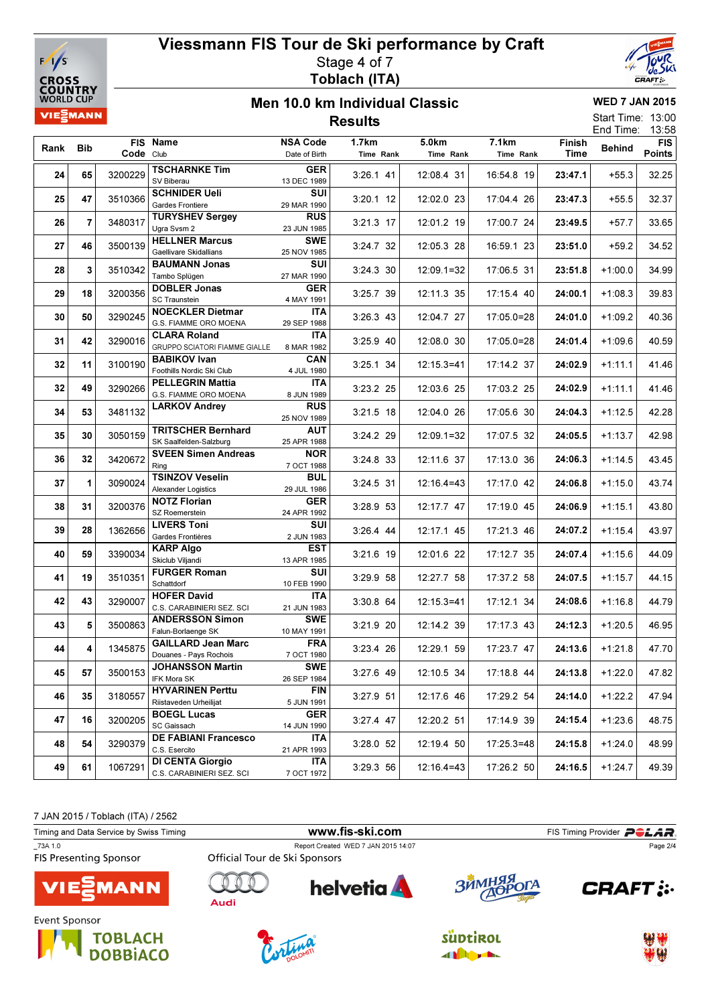



### Men 10.0 km Individual Classic **Results**

WED 7 JAN 2015 Start Time: 13:00

|      |                         |           |                                                      |                                  |                    |                    |                    |                | End Time:     | 13:58                       |
|------|-------------------------|-----------|------------------------------------------------------|----------------------------------|--------------------|--------------------|--------------------|----------------|---------------|-----------------------------|
| Rank | Bib                     | Code Club | FIS Name                                             | <b>NSA Code</b><br>Date of Birth | 1.7km<br>Time Rank | 5.0km<br>Time Rank | 7.1km<br>Time Rank | Finish<br>Time | <b>Behind</b> | <b>FIS</b><br><b>Points</b> |
| 24   | 65                      | 3200229   | <b>TSCHARNKE Tim</b><br>SV Biberau                   | GER<br>13 DEC 1989               | $3:26.1$ 41        | 12:08.4 31         | 16:54.8 19         | 23:47.1        | $+55.3$       | 32.25                       |
| 25   | 47                      | 3510366   | <b>SCHNIDER Ueli</b><br>Gardes Frontiere             | SUI<br>29 MAR 1990               | $3:20.1$ 12        | 12:02.0 23         | 17:04.4 26         | 23:47.3        | $+55.5$       | 32.37                       |
| 26   | $\overline{\mathbf{r}}$ | 3480317   | <b>TURYSHEV Sergey</b><br>Ugra Svsm 2                | <b>RUS</b><br>23 JUN 1985        | 3:21.3 17          | 12:01.2 19         | 17:00.7 24         | 23:49.5        | +57.7         | 33.65                       |
| 27   | 46                      | 3500139   | <b>HELLNER Marcus</b><br>Gaellivare Skidallians      | <b>SWE</b><br>25 NOV 1985        | 3:24.7 32          | 12:05.3 28         | 16:59.1 23         | 23:51.0        | $+59.2$       | 34.52                       |
| 28   | 3                       | 3510342   | <b>BAUMANN Jonas</b><br>Tambo Splügen                | SUI<br>27 MAR 1990               | 3:24.3 30          | $12:09.1=32$       | 17:06.5 31         | 23:51.8        | $+1:00.0$     | 34.99                       |
| 29   | 18                      | 3200356   | <b>DOBLER Jonas</b><br><b>SC Traunstein</b>          | GER<br>4 MAY 1991                | 3:25.7 39          | 12:11.3 35         | 17:15.4 40         | 24:00.1        | $+1:08.3$     | 39.83                       |
| 30   | 50                      | 3290245   | <b>NOECKLER Dietmar</b><br>G.S. FIAMME ORO MOENA     | <b>ITA</b><br>29 SEP 1988        | $3:26.3$ 43        | 12:04.7 27         | $17:05.0=28$       | 24:01.0        | $+1:09.2$     | 40.36                       |
| 31   | 42                      | 3290016   | <b>CLARA Roland</b><br>GRUPPO SCIATORI FIAMME GIALLE | ITA<br>8 MAR 1982                | 3:25.9 40          | 12:08.0 30         | 17:05.0=28         | 24:01.4        | $+1:09.6$     | 40.59                       |
| 32   | 11                      | 3100190   | <b>BABIKOV Ivan</b><br>Foothills Nordic Ski Club     | CAN<br>4 JUL 1980                | 3:25.1 34          | $12:15.3=41$       | 17:14.2 37         | 24:02.9        | $+1:11.1$     | 41.46                       |
| 32   | 49                      | 3290266   | <b>PELLEGRIN Mattia</b><br>G.S. FIAMME ORO MOENA     | <b>ITA</b><br>8 JUN 1989         | 3:23.2 25          | 12:03.6 25         | 17:03.2 25         | 24:02.9        | $+1:11.1$     | 41.46                       |
| 34   | 53                      | 3481132   | <b>LARKOV Andrey</b>                                 | <b>RUS</b><br>25 NOV 1989        | $3:21.5$ 18        | 12:04.0 26         | 17:05.6 30         | 24:04.3        | $+1:12.5$     | 42.28                       |
| 35   | 30                      | 3050159   | <b>TRITSCHER Bernhard</b><br>SK Saalfelden-Salzburg  | AUT<br>25 APR 1988               | 3:24.2 29          | $12:09.1=32$       | 17:07.5 32         | 24:05.5        | $+1:13.7$     | 42.98                       |
| 36   | 32                      | 3420672   | <b>SVEEN Simen Andreas</b><br>Ring                   | <b>NOR</b><br>7 OCT 1988         | 3:24.8 33          | 12:11.6 37         | 17:13.0 36         | 24:06.3        | $+1:14.5$     | 43.45                       |
| 37   | 1                       | 3090024   | <b>TSINZOV Veselin</b><br>Alexander Logistics        | BUL<br>29 JUL 1986               | 3:24.5 31          | $12:16.4=43$       | 17:17.0 42         | 24:06.8        | $+1:15.0$     | 43.74                       |
| 38   | 31                      | 3200376   | <b>NOTZ Florian</b><br>SZ Roemerstein                | GER<br>24 APR 1992               | 3:28.9 53          | 12:17.7 47         | 17:19.0 45         | 24:06.9        | $+1:15.1$     | 43.80                       |
| 39   | 28                      | 1362656   | LIVERS Toni<br>Gardes Frontières                     | SUI<br>2 JUN 1983                | $3:26.4$ 44        | 12:17.1 45         | 17:21.3 46         | 24:07.2        | $+1:15.4$     | 43.97                       |
| 40   | 59                      | 3390034   | <b>KARP Algo</b><br>Skiclub Viljandi                 | EST<br>13 APR 1985               | 3:21.6 19          | 12:01.6 22         | 17:12.7 35         | 24:07.4        | $+1:15.6$     | 44.09                       |
| 41   | 19                      | 3510351   | <b>FURGER Roman</b><br>Schattdorf                    | SUI<br>10 FEB 1990               | 3:29.9 58          | 12:27.7 58         | 17:37.2 58         | 24:07.5        | $+1:15.7$     | 44.15                       |
| 42   | 43                      | 3290007   | <b>HOFER David</b><br>C.S. CARABINIERI SEZ. SCI      | <b>ITA</b><br>21 JUN 1983        | 3:30.8 64          | $12:15.3=41$       | 17:12.1 34         | 24:08.6        | $+1:16.8$     | 44.79                       |
| 43   | 5                       | 3500863   | <b>ANDERSSON Simon</b><br>Falun-Borlaenge SK         | <b>SWE</b><br>10 MAY 1991        | 3:21.9 20          | 12:14.2 39         | 17:17.3 43         | 24:12.3        | $+1:20.5$     | 46.95                       |
| 44   | 4                       | 1345875   | <b>GAILLARD Jean Marc</b><br>Douanes - Pays Rochois  | <b>FRA</b><br>7 OCT 1980         | 3:23.4 26          | 12:29.1 59         | 17:23.7 47         | 24:13.6        | $+1:21.8$     | 47.70                       |
| 45   | 57                      | 3500153   | <b>JOHANSSON Martin</b><br>IFK Mora SK               | <b>SWE</b><br>26 SEP 1984        | 3:27.6 49          | 12:10.5 34         | 17:18.8 44         | 24:13.8        | $+1:22.0$     | 47.82                       |
| 46   | 35                      | 3180557   | <b>HYVARINEN Perttu</b><br>Riistaveden Urheilijat    | <b>FIN</b><br>5 JUN 1991         | 3:27.9 51          | 12:17.6 46         | 17:29.2 54         | 24:14.0        | $+1:22.2$     | 47.94                       |
| 47   | 16                      | 3200205   | <b>BOEGL Lucas</b><br>SC Gaissach                    | <b>GER</b><br>14 JUN 1990        | 3:27.4 47          | 12:20.2 51         | 17:14.9 39         | 24:15.4        | $+1:23.6$     | 48.75                       |
| 48   | 54                      | 3290379   | <b>DE FABIANI Francesco</b><br>C.S. Esercito         | ITA.<br>21 APR 1993              | 3:28.0 52          | 12:19.4 50         | $17:25.3=48$       | 24:15.8        | $+1:24.0$     | 48.99                       |
| 49   | 61                      | 1067291   | <b>DI CENTA Giorgio</b><br>C.S. CARABINIERI SEZ. SCI | <b>ITA</b><br>7 OCT 1972         | 3:29.3 56          | $12:16.4=43$       | 17:26.2 50         | 24:16.5        | $+1:24.7$     | 49.39                       |

7 JAN 2015 / Toblach (ITA) / 2562

| Timing and Data Service by Swiss Timing  |                               | www.fis-ski.com                     |            | FIS Timing Provider <b>POLAR</b> |
|------------------------------------------|-------------------------------|-------------------------------------|------------|----------------------------------|
| 73A 1.0<br><b>FIS Presenting Sponsor</b> | Official Tour de Ski Sponsors | Report Created WED 7 JAN 2015 14:07 |            | Page 2/4                         |
| <b>VIESMANN</b>                          | Audi                          | <b>helvetia</b>                     | ЗЙМНЯЯ ОГА | <b>CRAFT:</b>                    |
| Event Sponsor                            |                               |                                     |            | <b>And Albert</b>                |







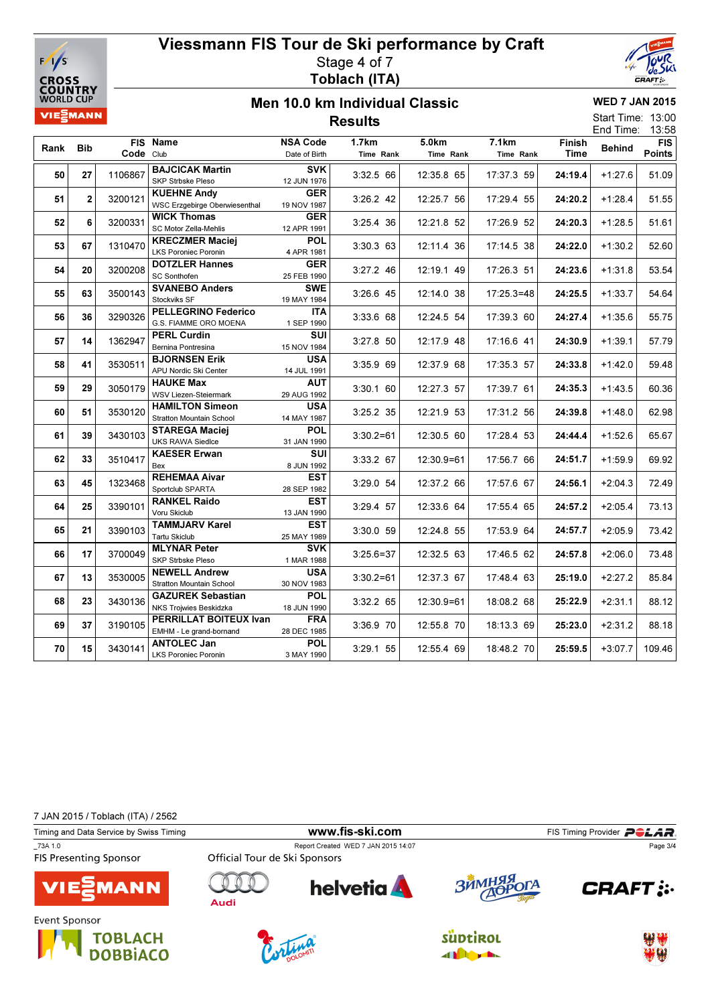



13:00

### Men 10.0 km Individual Classic **Results**

WED 7 JAN 2015

Start Time:

|      |                |           |                                                      |                    |               |            |              |         | End Time:     | 13:58      |
|------|----------------|-----------|------------------------------------------------------|--------------------|---------------|------------|--------------|---------|---------------|------------|
| Rank | <b>Bib</b>     |           | FIS Name                                             | <b>NSA Code</b>    | 1.7km         | 5.0km      | 7.1km        |         | <b>Behind</b> | <b>FIS</b> |
|      |                | Code Club |                                                      | Date of Birth      | Time Rank     | Time Rank  | Time Rank    | Time    |               | Points     |
| 50   | 27             | 1106867   | <b>BAJCICAK Martin</b>                               | <b>SVK</b>         | 3:32.5 66     | 12:35.8 65 | 17:37.3 59   | 24:19.4 | $+1:27.6$     | 51.09      |
|      |                |           | SKP Strbske Pleso                                    | 12 JUN 1976        |               |            |              |         |               |            |
| 51   | $\overline{2}$ | 3200121   | <b>KUEHNE Andy</b>                                   | <b>GER</b>         | 3:26.2 42     | 12:25.7 56 | 17:29.4 55   | 24:20.2 | $+1:28.4$     | 51.55      |
|      |                |           | <b>WSC Erzgebirge Oberwiesenthal</b>                 | 19 NOV 1987        |               |            |              |         |               |            |
| 52   | 6              | 3200331   | <b>WICK Thomas</b>                                   | <b>GER</b>         | 3:25.4 36     | 12:21.8 52 | 17:26.9 52   | 24:20.3 | $+1:28.5$     | 51.61      |
|      |                |           | SC Motor Zella-Mehlis                                | 12 APR 1991        |               |            |              |         |               |            |
| 53   | 67             | 1310470   | <b>KRECZMER Maciej</b>                               | <b>POL</b>         | 3:30.3 63     | 12:11.4 36 | 17:14.5 38   | 24:22.0 | $+1:30.2$     | 52.60      |
|      |                |           | <b>LKS Poroniec Poronin</b><br><b>DOTZLER Hannes</b> | 4 APR 1981         |               |            |              |         |               |            |
| 54   | 20             | 3200208   | <b>SC Sonthofen</b>                                  | GER<br>25 FEB 1990 | $3:27.2$ 46   | 12:19.1 49 | 17:26.3 51   | 24:23.6 | $+1:31.8$     | 53.54      |
|      |                |           | <b>SVANEBO Anders</b>                                | <b>SWE</b>         |               |            |              |         |               |            |
| 55   | 63             | 3500143   | Stockviks SF                                         | 19 MAY 1984        | 3:26.6 45     | 12:14.0 38 | $17:25.3=48$ | 24:25.5 | $+1:33.7$     | 54.64      |
|      |                |           | <b>PELLEGRINO Federico</b>                           | <b>ITA</b>         |               |            |              |         |               |            |
| 56   | 36             | 3290326   | G.S. FIAMME ORO MOENA                                | 1 SEP 1990         | 3:33.6 68     | 12:24.5 54 | 17:39.3 60   | 24:27.4 | $+1:35.6$     | 55.75      |
|      |                |           | <b>PERL Curdin</b>                                   | SUI                |               |            |              |         |               |            |
|      | 57<br>14       | 1362947   | Bernina Pontresina                                   | 15 NOV 1984        | 3:27.8 50     | 12:17.9 48 | 17:16.6 41   | 24:30.9 | $+1:39.1$     | 57.79      |
|      | 41             | 3530511   | <b>BJORNSEN Erik</b>                                 | <b>USA</b>         | 3:35.9 69     | 12:37.9 68 | 17:35.3 57   | 24:33.8 | $+1:42.0$     | 59.48      |
|      | 58             |           | APU Nordic Ski Center                                | 14 JUL 1991        |               |            |              |         |               |            |
| 59   | 29             | 3050179   | <b>HAUKE Max</b>                                     | <b>AUT</b>         | $3:30.1$ 60   | 12:27.3 57 | 17:39.7 61   | 24:35.3 | $+1:43.5$     | 60.36      |
|      |                |           | <b>WSV Liezen-Steiermark</b>                         | 29 AUG 1992        |               |            |              |         |               |            |
| 60   | 51             | 3530120   | <b>HAMILTON Simeon</b>                               | <b>USA</b>         | 3:25.2 35     | 12:21.9 53 | 17:31.2 56   | 24:39.8 | $+1:48.0$     | 62.98      |
|      |                |           | <b>Stratton Mountain School</b>                      | 14 MAY 1987        |               |            |              |         |               |            |
| 61   | 39             | 3430103   | <b>STAREGA Maciej</b>                                | <b>POL</b>         | $3:30.2 = 61$ | 12:30.5 60 | 17:28.4 53   | 24:44.4 | $+1:52.6$     | 65.67      |
|      |                |           | <b>UKS RAWA Siedlce</b>                              | 31 JAN 1990        |               |            |              |         |               |            |
| 62   | 33             | 3510417   | <b>KAESER Erwan</b><br>Bex                           | SUI                | 3:33.2 67     | 12:30.9=61 | 17:56.7 66   | 24:51.7 | $+1:59.9$     | 69.92      |
|      |                |           | <b>REHEMAA Aivar</b>                                 | 8 JUN 1992<br>EST  |               |            |              |         |               |            |
| 63   | 45             | 1323468   | Sportclub SPARTA                                     | 28 SEP 1982        | 3:29.0 54     | 12:37.2 66 | 17:57.6 67   | 24:56.1 | $+2:04.3$     | 72.49      |
|      |                |           | <b>RANKEL Raido</b>                                  | <b>EST</b>         |               |            |              |         |               |            |
| 64   | 25             | 3390101   | Voru Skiclub                                         | 13 JAN 1990        | 3:29.4 57     | 12:33.6 64 | 17:55.4 65   | 24:57.2 | $+2:05.4$     | 73.13      |
|      |                |           | <b>TAMMJARV Karel</b>                                | EST                |               |            |              |         |               |            |
| 65   | 21             | 3390103   | <b>Tartu Skiclub</b>                                 | 25 MAY 1989        | 3:30.0 59     | 12:24.8 55 | 17:53.9 64   | 24:57.7 | $+2:05.9$     | 73.42      |
|      | 17             | 3700049   | <b>MLYNAR Peter</b>                                  | <b>SVK</b>         | $3:25.6=37$   | 12:32.5 63 | 17:46.5 62   |         |               | 73.48      |
| 66   |                |           | SKP Strbske Pleso                                    | 1 MAR 1988         |               |            |              | 24:57.8 | $+2:06.0$     |            |
| 67   | 13             | 3530005   | <b>NEWELL Andrew</b>                                 | <b>USA</b>         | $3:30.2=61$   | 12:37.3 67 | 17:48.4 63   | 25:19.0 | $+2:27.2$     | 85.84      |
|      |                |           | <b>Stratton Mountain School</b>                      | 30 NOV 1983        |               |            |              |         |               |            |
| 68   | 23             | 3430136   | <b>GAZUREK Sebastian</b>                             | <b>POL</b>         | 3:32.2 65     | 12:30.9=61 | 18:08.2 68   | 25:22.9 | $+2:31.1$     | 88.12      |
|      |                |           | <b>NKS Trojwies Beskidzka</b>                        | 18 JUN 1990        |               |            |              |         |               |            |
| 69   | 37             | 3190105   | PERRILLAT BOITEUX Ivan                               | <b>FRA</b>         | 3:36.9 70     | 12:55.8 70 | 18:13.3 69   | 25:23.0 | $+2:31.2$     | 88.18      |
|      |                |           | EMHM - Le grand-bornand                              | 28 DEC 1985        |               |            |              |         |               |            |
| 70   | 15             | 3430141   | <b>ANTOLEC Jan</b>                                   | <b>POL</b>         | 3:29.1 55     | 12:55.4 69 | 18:48.2 70   | 25:59.5 | $+3:07.7$     | 109.46     |
|      |                |           | <b>LKS Poroniec Poronin</b>                          | 3 MAY 1990         |               |            |              |         |               |            |

7 JAN 2015 / Toblach (ITA) / 2562

Timing and Data Service by Swiss Timing **Example 2018** WWW.fis-ski.com FIS Timing Provider PCLAR \_73A 1.0<br>
Report Created WED 7 JAN 2015 14:07<br>
FIS Presenting Sponsor<br>
Official Tour de Ski Sponsors Page 3/4**FIS Presenting Sponsor** n helvetia **A CRAFT: :. MANN Audi** Event Sponsor **TOBLACH SUDTIROL DOBBIACO All Digital**